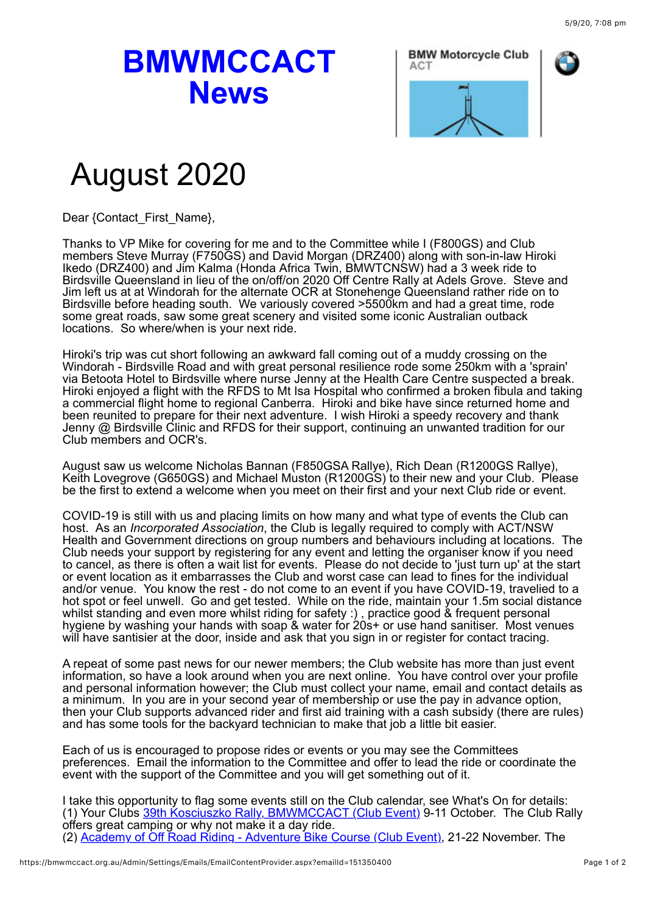## **BMWMCCACT News**



## August 2020

Dear {Contact\_First\_Name},

Thanks to VP Mike for covering for me and to the Committee while I (F800GS) and Club members Steve Murray (F750GS) and David Morgan (DRZ400) along with son-in-law Hiroki Ikedo (DRZ400) and Jim Kalma (Honda Africa Twin, BMWTCNSW) had a 3 week ride to Birdsville Queensland in lieu of the on/off/on 2020 Off Centre Rally at Adels Grove. Steve and Jim left us at at Windorah for the alternate OCR at Stonehenge Queensland rather ride on to Birdsville before heading south. We variously covered >5500km and had a great time, rode some great roads, saw some great scenery and visited some iconic Australian outback locations. So where/when is your next ride.

Hiroki's trip was cut short following an awkward fall coming out of a muddy crossing on the Windorah - Birdsville Road and with great personal resilience rode some 250km with a 'sprain' via Betoota Hotel to Birdsville where nurse Jenny at the Health Care Centre suspected a break. Hiroki enjoyed a flight with the RFDS to Mt Isa Hospital who confirmed a broken fibula and taking a commercial flight home to regional Canberra. Hiroki and bike have since returned home and been reunited to prepare for their next adventure. I wish Hiroki a speedy recovery and thank Jenny @ Birdsville Clinic and RFDS for their support, continuing an unwanted tradition for our Club members and OCR's.

August saw us welcome Nicholas Bannan (F850GSA Rallye), Rich Dean (R1200GS Rallye), Keith Lovegrove (G650GS) and Michael Muston (R1200GS) to their new and your Club. Please be the first to extend a welcome when you meet on their first and your next Club ride or event.

COVID-19 is still with us and placing limits on how many and what type of events the Club can host. As an *Incorporated Association*, the Club is legally required to comply with ACT/NSW Health and Government directions on group numbers and behaviours including at locations. The Club needs your support by registering for any event and letting the organiser know if you need to cancel, as there is often a wait list for events. Please do not decide to 'just turn up' at the start or event location as it embarrasses the Club and worst case can lead to fines for the individual and/or venue. You know the rest - do not come to an event if you have COVID-19, travelied to a hot spot or feel unwell. Go and get tested. While on the ride, maintain your 1.5m social distance whilst standing and even more whilst riding for safety :) , practice good & frequent personal hygiene by washing your hands with soap & water for 20s+ or use hand sanitiser. Most venues will have santisier at the door, inside and ask that you sign in or register for contact tracing.

A repeat of some past news for our newer members; the Club website has more than just event information, so have a look around when you are next online. You have control over your profile and personal information however; the Club must collect your name, email and contact details as a minimum. In you are in your second year of membership or use the pay in advance option, then your Club supports advanced rider and first aid training with a cash subsidy (there are rules) and has some tools for the backyard technician to make that job a little bit easier.

Each of us is encouraged to propose rides or events or you may see the Committees preferences. Email the information to the Committee and offer to lead the ride or coordinate the event with the support of the Committee and you will get something out of it.

I take this opportunity to flag some events still on the Club calendar, see What's On for details: (1) Your Clubs [39th Kosciuszko Rally, BMWMCCACT \(Club Event\)](https://bmwmccact.org.au/event-3365756) 9-11 October. The Club Rally offers great camping or why not make it a day ride. (2) [Academy of Off Road Riding - Adventure Bike Course \(Club Event\),](https://bmwmccact.org.au/event-3880659) 21-22 November. The